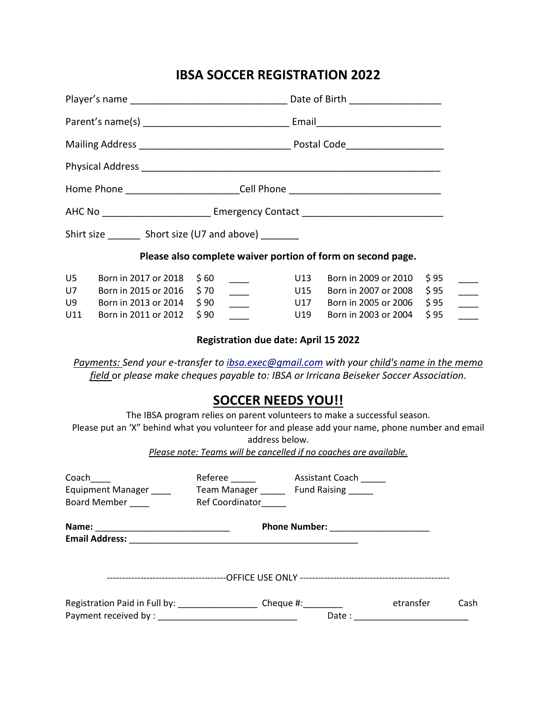## **IBSA SOCCER REGISTRATION 2022**

| Home Phone __________________________Cell Phone ________________________________ |                                                                                              |                                                                                     |                   |                                                                                                                                                                                    |                              |               |  |  |
|----------------------------------------------------------------------------------|----------------------------------------------------------------------------------------------|-------------------------------------------------------------------------------------|-------------------|------------------------------------------------------------------------------------------------------------------------------------------------------------------------------------|------------------------------|---------------|--|--|
|                                                                                  |                                                                                              |                                                                                     |                   |                                                                                                                                                                                    |                              |               |  |  |
|                                                                                  | Shirt size __________ Short size (U7 and above) ________                                     |                                                                                     |                   |                                                                                                                                                                                    |                              |               |  |  |
| Please also complete waiver portion of form on second page.                      |                                                                                              |                                                                                     |                   |                                                                                                                                                                                    |                              |               |  |  |
| U5<br>U7<br>U9<br>U11                                                            | Born in 2017 or 2018<br>Born in 2015 or 2016<br>Born in 2013 or 2014<br>Born in 2011 or 2012 | \$60<br>\$70<br>$\overline{\phantom{a}}$<br>\$90<br>$\frac{1}{1}$<br>\$90           | U13<br>U15<br>U19 | Born in 2009 or 2010<br>Born in 2007 or 2008<br>U17 Born in 2005 or 2006<br>Born in 2003 or 2004                                                                                   | \$95<br>\$95<br>\$95<br>\$95 | $\frac{1}{1}$ |  |  |
|                                                                                  |                                                                                              | <b>Registration due date: April 15 2022</b>                                         |                   |                                                                                                                                                                                    |                              |               |  |  |
|                                                                                  |                                                                                              |                                                                                     |                   | Payments: Send your e-transfer to ibsa.exec@gmail.com with your child's name in the memo<br>field or please make cheques payable to: IBSA or Irricana Beiseker Soccer Association. |                              |               |  |  |
|                                                                                  |                                                                                              | <b>SOCCER NEEDS YOU!!</b>                                                           |                   |                                                                                                                                                                                    |                              |               |  |  |
|                                                                                  |                                                                                              | address below.<br>Please note: Teams will be cancelled if no coaches are available. |                   | The IBSA program relies on parent volunteers to make a successful season.<br>Please put an 'X" behind what you volunteer for and please add your name, phone number and email      |                              |               |  |  |
| Coach<br>Equipment Manager ____<br>Board Member                                  |                                                                                              | Team Manager _______ Fund Raising ______<br>Ref Coordinator                         |                   |                                                                                                                                                                                    |                              |               |  |  |

**Name:** \_\_\_\_\_\_\_\_\_\_\_\_\_\_\_\_\_\_\_\_\_\_\_\_\_\_\_ **Phone Number:** \_\_\_\_\_\_\_\_\_\_\_\_\_\_\_\_\_\_\_\_ **Email Address:** \_\_\_\_\_\_\_\_\_\_\_\_\_\_\_\_\_\_\_\_\_\_\_\_\_\_\_\_\_\_\_\_\_\_\_\_\_\_\_\_\_\_\_\_\_\_ ---------------------------------------OFFICE USE ONLY ------------------------------------------------- Registration Paid in Full by: \_\_\_\_\_\_\_\_\_\_\_\_\_\_\_\_\_\_\_\_\_Cheque #: \_\_\_\_\_\_\_\_\_\_\_\_ etransfer cash Payment received by : \_\_\_\_\_\_\_\_\_\_\_\_\_\_\_\_\_\_\_\_\_\_\_\_\_\_\_\_ Date : \_\_\_\_\_\_\_\_\_\_\_\_\_\_\_\_\_\_\_\_\_\_\_